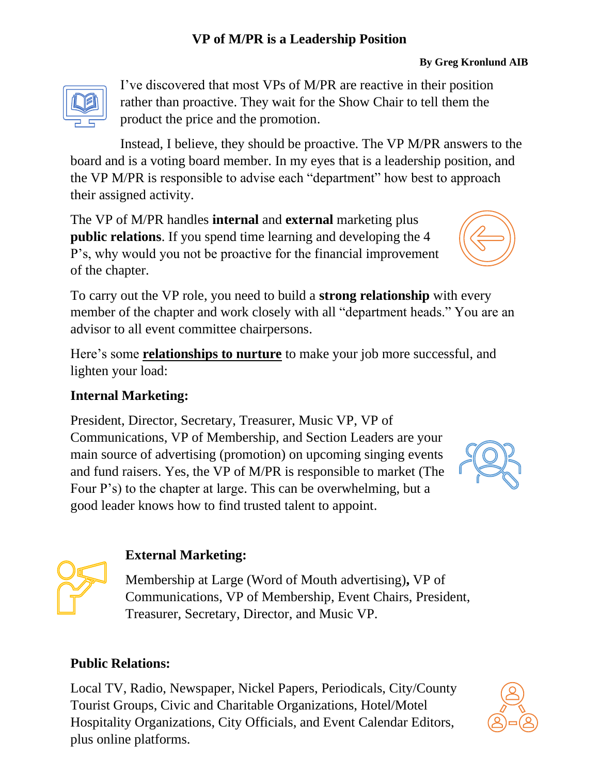#### **VP of M/PR is a Leadership Position**

#### **By Greg Kronlund AIB**



I've discovered that most VPs of M/PR are reactive in their position rather than proactive. They wait for the Show Chair to tell them the product the price and the promotion.

Instead, I believe, they should be proactive. The VP M/PR answers to the board and is a voting board member. In my eyes that is a leadership position, and the VP M/PR is responsible to advise each "department" how best to approach their assigned activity.

The VP of M/PR handles **internal** and **external** marketing plus **public relations**. If you spend time learning and developing the 4 P's, why would you not be proactive for the financial improvement of the chapter.

To carry out the VP role, you need to build a **strong relationship** with every member of the chapter and work closely with all "department heads." You are an advisor to all event committee chairpersons.

Here's some **relationships to nurture** to make your job more successful, and lighten your load:

#### **Internal Marketing:**

President, Director, Secretary, Treasurer, Music VP, VP of Communications, VP of Membership, and Section Leaders are your main source of advertising (promotion) on upcoming singing events and fund raisers. Yes, the VP of M/PR is responsible to market (The Four P's) to the chapter at large. This can be overwhelming, but a good leader knows how to find trusted talent to appoint.

### **External Marketing:**

Membership at Large (Word of Mouth advertising)**,** VP of Communications, VP of Membership, Event Chairs, President, Treasurer, Secretary, Director, and Music VP.

#### **Public Relations:**

Local TV, Radio, Newspaper, Nickel Papers, Periodicals, City/County Tourist Groups, Civic and Charitable Organizations, Hotel/Motel Hospitality Organizations, City Officials, and Event Calendar Editors, plus online platforms.





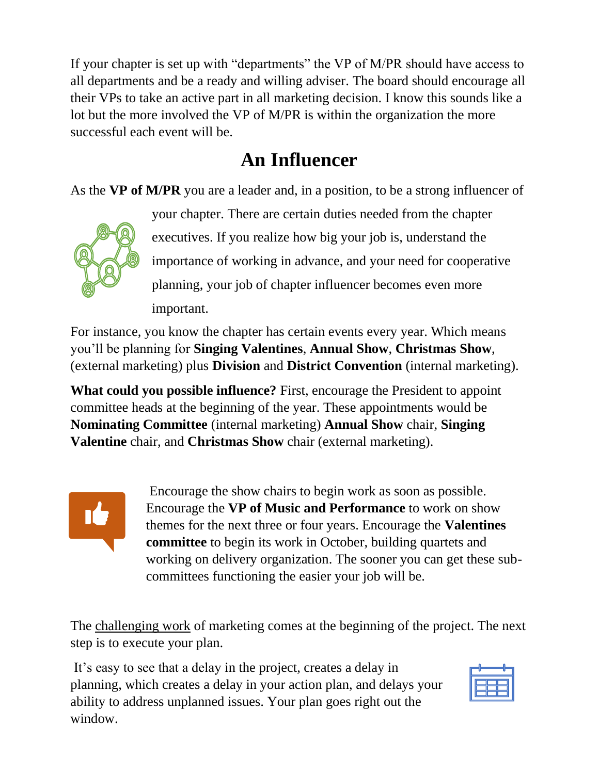If your chapter is set up with "departments" the VP of M/PR should have access to all departments and be a ready and willing adviser. The board should encourage all their VPs to take an active part in all marketing decision. I know this sounds like a lot but the more involved the VP of M/PR is within the organization the more successful each event will be.

# **An Influencer**

As the **VP of M/PR** you are a leader and, in a position, to be a strong influencer of



your chapter. There are certain duties needed from the chapter executives. If you realize how big your job is, understand the importance of working in advance, and your need for cooperative planning, your job of chapter influencer becomes even more important.

For instance, you know the chapter has certain events every year. Which means you'll be planning for **Singing Valentines**, **Annual Show**, **Christmas Show**, (external marketing) plus **Division** and **District Convention** (internal marketing).

**What could you possible influence?** First, encourage the President to appoint committee heads at the beginning of the year. These appointments would be **Nominating Committee** (internal marketing) **Annual Show** chair, **Singing Valentine** chair, and **Christmas Show** chair (external marketing).



Encourage the show chairs to begin work as soon as possible. Encourage the **VP of Music and Performance** to work on show themes for the next three or four years. Encourage the **Valentines committee** to begin its work in October, building quartets and working on delivery organization. The sooner you can get these subcommittees functioning the easier your job will be.

The challenging work of marketing comes at the beginning of the project. The next step is to execute your plan.

It's easy to see that a delay in the project, creates a delay in planning, which creates a delay in your action plan, and delays your ability to address unplanned issues. Your plan goes right out the window.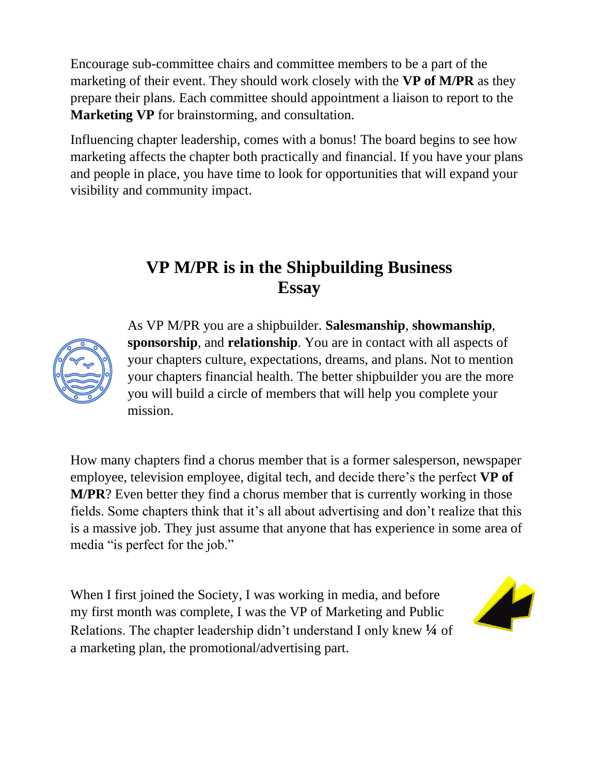Encourage sub-committee chairs and committee members to be a part of the marketing of their event. They should work closely with the **VP of M/PR** as they prepare their plans. Each committee should appointment a liaison to report to the **Marketing VP** for brainstorming, and consultation.

Influencing chapter leadership, comes with a bonus! The board begins to see how marketing affects the chapter both practically and financial. If you have your plans and people in place, you have time to look for opportunities that will expand your visibility and community impact.

## **VP M/PR is in the Shipbuilding Business Essay**



As VP M/PR you are a shipbuilder. **Salesmanship**, **showmanship**, **sponsorship**, and **relationship**. You are in contact with all aspects of your chapters culture, expectations, dreams, and plans. Not to mention your chapters financial health. The better shipbuilder you are the more you will build a circle of members that will help you complete your mission.

How many chapters find a chorus member that is a former salesperson, newspaper employee, television employee, digital tech, and decide there's the perfect **VP of M/PR**? Even better they find a chorus member that is currently working in those fields. Some chapters think that it's all about advertising and don't realize that this is a massive job. They just assume that anyone that has experience in some area of media "is perfect for the job."

When I first joined the Society, I was working in media, and before my first month was complete, I was the VP of Marketing and Public Relations. The chapter leadership didn't understand I only knew **¼** of a marketing plan, the promotional/advertising part.

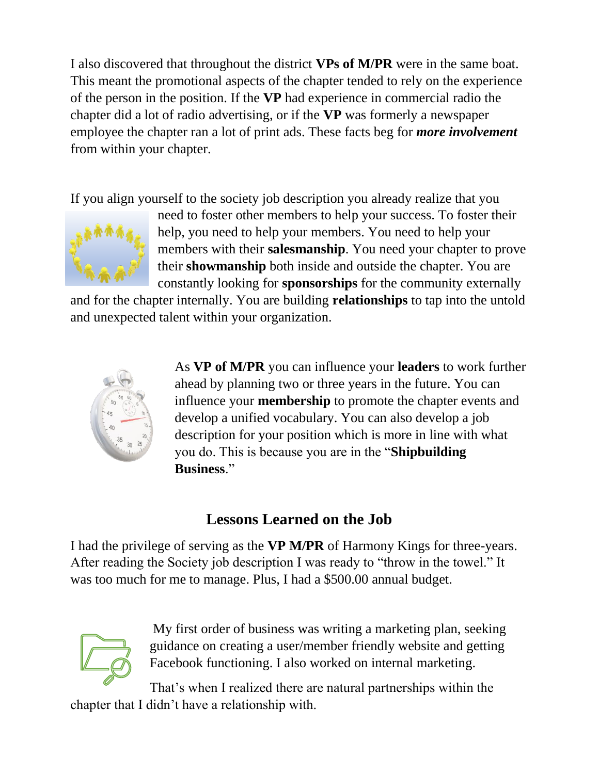I also discovered that throughout the district **VPs of M/PR** were in the same boat. This meant the promotional aspects of the chapter tended to rely on the experience of the person in the position. If the **VP** had experience in commercial radio the chapter did a lot of radio advertising, or if the **VP** was formerly a newspaper employee the chapter ran a lot of print ads. These facts beg for *more involvement* from within your chapter.

If you align yourself to the society job description you already realize that you



need to foster other members to help your success. To foster their help, you need to help your members. You need to help your members with their **salesmanship**. You need your chapter to prove their **showmanship** both inside and outside the chapter. You are constantly looking for **sponsorships** for the community externally

and for the chapter internally. You are building **relationships** to tap into the untold and unexpected talent within your organization.



As **VP of M/PR** you can influence your **leaders** to work further ahead by planning two or three years in the future. You can influence your **membership** to promote the chapter events and develop a unified vocabulary. You can also develop a job description for your position which is more in line with what you do. This is because you are in the "**Shipbuilding Business**."

## **Lessons Learned on the Job**

I had the privilege of serving as the **VP M/PR** of Harmony Kings for three-years. After reading the Society job description I was ready to "throw in the towel." It was too much for me to manage. Plus, I had a \$500.00 annual budget.



My first order of business was writing a marketing plan, seeking guidance on creating a user/member friendly website and getting Facebook functioning. I also worked on internal marketing.

That's when I realized there are natural partnerships within the chapter that I didn't have a relationship with.